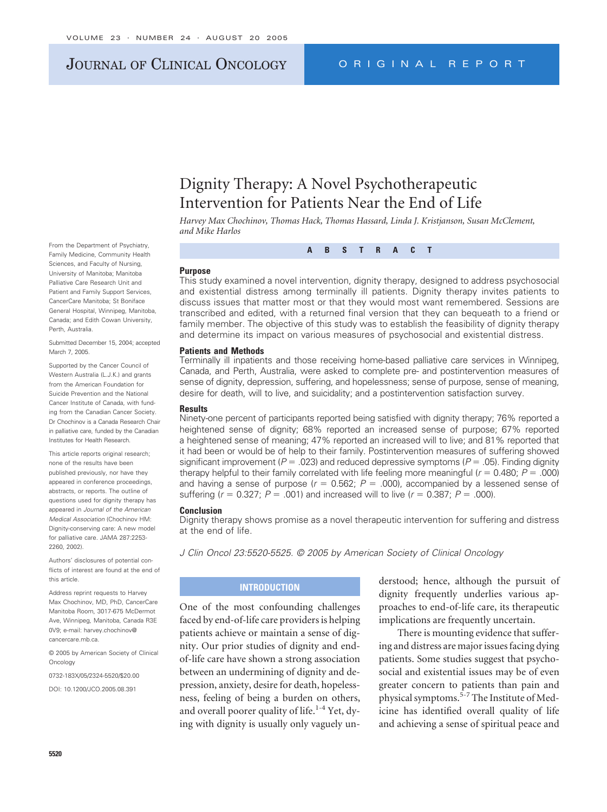# JOURNAL OF CLINICAL ONCOLOGY ORIGINAL REPORT

# Dignity Therapy: A Novel Psychotherapeutic Intervention for Patients Near the End of Life

*Harvey Max Chochinov, Thomas Hack, Thomas Hassard, Linda J. Kristjanson, Susan McClement, and Mike Harlos*

**ABSTRACT**

#### **Purpose**

This study examined a novel intervention, dignity therapy, designed to address psychosocial and existential distress among terminally ill patients. Dignity therapy invites patients to discuss issues that matter most or that they would most want remembered. Sessions are transcribed and edited, with a returned final version that they can bequeath to a friend or family member. The objective of this study was to establish the feasibility of dignity therapy and determine its impact on various measures of psychosocial and existential distress.

### **Patients and Methods**

Terminally ill inpatients and those receiving home-based palliative care services in Winnipeg, Canada, and Perth, Australia, were asked to complete pre- and postintervention measures of sense of dignity, depression, suffering, and hopelessness; sense of purpose, sense of meaning, desire for death, will to live, and suicidality; and a postintervention satisfaction survey.

### **Results**

Ninety-one percent of participants reported being satisfied with dignity therapy; 76% reported a heightened sense of dignity; 68% reported an increased sense of purpose; 67% reported a heightened sense of meaning; 47% reported an increased will to live; and 81% reported that it had been or would be of help to their family. Postintervention measures of suffering showed significant improvement ( $P = .023$ ) and reduced depressive symptoms ( $P = .05$ ). Finding dignity therapy helpful to their family correlated with life feeling more meaningful ( $r = 0.480$ ;  $P = .000$ ) and having a sense of purpose  $(r = 0.562; P = .000)$ , accompanied by a lessened sense of suffering ( $r = 0.327$ ;  $P = .001$ ) and increased will to live ( $r = 0.387$ ;  $P = .000$ ).

### **Conclusion**

Dignity therapy shows promise as a novel therapeutic intervention for suffering and distress at the end of life.

*J Clin Oncol 23:5520-5525. © 2005 by American Society of Clinical Oncology*

### **INTRODUCTION**

One of the most confounding challenges faced by end-of-life care providers is helping patients achieve or maintain a sense of dignity. Our prior studies of dignity and endof-life care have shown a strong association between an undermining of dignity and depression, anxiety, desire for death, hopelessness, feeling of being a burden on others, and overall poorer quality of life.<sup>1-4</sup> Yet, dying with dignity is usually only vaguely understood; hence, although the pursuit of dignity frequently underlies various approaches to end-of-life care, its therapeutic implications are frequently uncertain.

There is mounting evidence that suffering and distress are major issues facing dying patients. Some studies suggest that psychosocial and existential issues may be of even greater concern to patients than pain and physical symptoms.<sup>5-7</sup> The Institute of Medicine has identified overall quality of life and achieving a sense of spiritual peace and

From the Department of Psychiatry, Family Medicine, Community Health Sciences, and Faculty of Nursing, University of Manitoba; Manitoba Palliative Care Research Unit and Patient and Family Support Services, CancerCare Manitoba; St Boniface General Hospital, Winnipeg, Manitoba, Canada; and Edith Cowan University, Perth, Australia.

Submitted December 15, 2004; accepted March 7, 2005.

Supported by the Cancer Council of Western Australia (L.J.K.) and grants from the American Foundation for Suicide Prevention and the National Cancer Institute of Canada, with funding from the Canadian Cancer Society. Dr Chochinov is a Canada Research Chair in palliative care, funded by the Canadian Institutes for Health Research.

This article reports original research; none of the results have been published previously, nor have they appeared in conference proceedings, abstracts, or reports. The outline of questions used for dignity therapy has appeared in *Journal of the American Medical Association* (Chochinov HM: Dignity-conserving care: A new model for palliative care. JAMA 287:2253- 2260, 2002).

Authors' disclosures of potential conflicts of interest are found at the end of this article.

Address reprint requests to Harvey Max Chochinov, MD, PhD, CancerCare Manitoba Room, 3017-675 McDermot Ave, Winnipeg, Manitoba, Canada R3E 0V9; e-mail: harvey.chochinov@ cancercare.mb.ca.

© 2005 by American Society of Clinical **Oncology** 

0732-183X/05/2324-5520/\$20.00

DOI: 10.1200/JCO.2005.08.391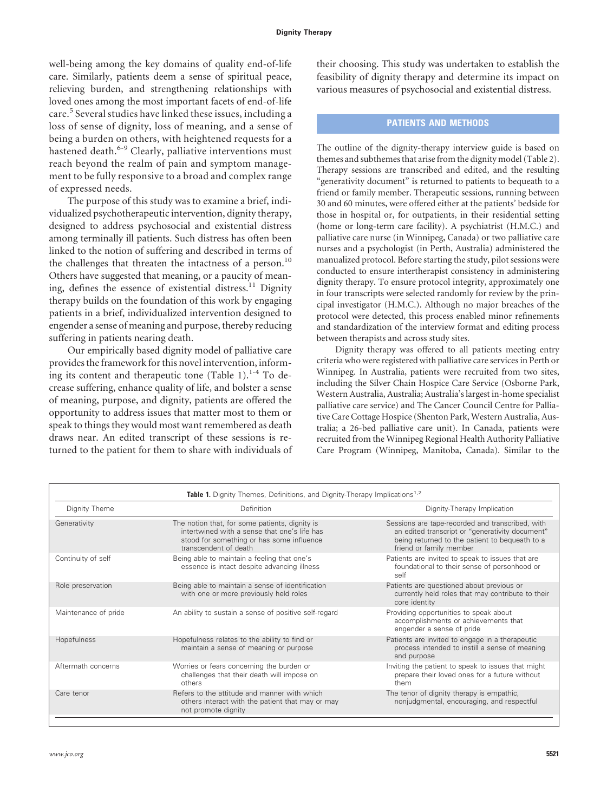well-being among the key domains of quality end-of-life care. Similarly, patients deem a sense of spiritual peace, relieving burden, and strengthening relationships with loved ones among the most important facets of end-of-life care.<sup>5</sup> Several studies have linked these issues, including a loss of sense of dignity, loss of meaning, and a sense of being a burden on others, with heightened requests for a hastened death.<sup>6-9</sup> Clearly, palliative interventions must reach beyond the realm of pain and symptom management to be fully responsive to a broad and complex range of expressed needs.

The purpose of this study was to examine a brief, individualized psychotherapeutic intervention, dignity therapy, designed to address psychosocial and existential distress among terminally ill patients. Such distress has often been linked to the notion of suffering and described in terms of the challenges that threaten the intactness of a person.<sup>10</sup> Others have suggested that meaning, or a paucity of meaning, defines the essence of existential distress.<sup>11</sup> Dignity therapy builds on the foundation of this work by engaging patients in a brief, individualized intervention designed to engender a sense of meaning and purpose, thereby reducing suffering in patients nearing death.

Our empirically based dignity model of palliative care provides the framework for this novel intervention, informing its content and therapeutic tone (Table 1). $^{1-4}$  To decrease suffering, enhance quality of life, and bolster a sense of meaning, purpose, and dignity, patients are offered the opportunity to address issues that matter most to them or speak to things they would most want remembered as death draws near. An edited transcript of these sessions is returned to the patient for them to share with individuals of

their choosing. This study was undertaken to establish the feasibility of dignity therapy and determine its impact on various measures of psychosocial and existential distress.

## **PATIENTS AND METHODS**

The outline of the dignity-therapy interview guide is based on themes and subthemes that arise from the dignity model (Table 2). Therapy sessions are transcribed and edited, and the resulting "generativity document" is returned to patients to bequeath to a friend or family member. Therapeutic sessions, running between 30 and 60 minutes, were offered either at the patients' bedside for those in hospital or, for outpatients, in their residential setting (home or long-term care facility). A psychiatrist (H.M.C.) and palliative care nurse (in Winnipeg, Canada) or two palliative care nurses and a psychologist (in Perth, Australia) administered the manualized protocol. Before starting the study, pilot sessions were conducted to ensure intertherapist consistency in administering dignity therapy. To ensure protocol integrity, approximately one in four transcripts were selected randomly for review by the principal investigator (H.M.C.). Although no major breaches of the protocol were detected, this process enabled minor refinements and standardization of the interview format and editing process between therapists and across study sites.

Dignity therapy was offered to all patients meeting entry criteria who were registered with palliative care services in Perth or Winnipeg. In Australia, patients were recruited from two sites, including the Silver Chain Hospice Care Service (Osborne Park, Western Australia, Australia; Australia's largest in-home specialist palliative care service) and The Cancer Council Centre for Palliative Care Cottage Hospice (Shenton Park, Western Australia, Australia; a 26-bed palliative care unit). In Canada, patients were recruited from the Winnipeg Regional Health Authority Palliative Care Program (Winnipeg, Manitoba, Canada). Similar to the

| Dignity Theme        | Definition                                                                                                                                                           | Dignity-Therapy Implication                                                                                                                                                      |
|----------------------|----------------------------------------------------------------------------------------------------------------------------------------------------------------------|----------------------------------------------------------------------------------------------------------------------------------------------------------------------------------|
| Generativity         | The notion that, for some patients, dignity is<br>intertwined with a sense that one's life has<br>stood for something or has some influence<br>transcendent of death | Sessions are tape-recorded and transcribed, with<br>an edited transcript or "generativity document"<br>being returned to the patient to bequeath to a<br>friend or family member |
| Continuity of self   | Being able to maintain a feeling that one's<br>essence is intact despite advancing illness                                                                           | Patients are invited to speak to issues that are<br>foundational to their sense of personhood or<br>self                                                                         |
| Role preservation    | Being able to maintain a sense of identification<br>with one or more previously held roles                                                                           | Patients are questioned about previous or<br>currently held roles that may contribute to their<br>core identity                                                                  |
| Maintenance of pride | An ability to sustain a sense of positive self-regard                                                                                                                | Providing opportunities to speak about<br>accomplishments or achievements that<br>engender a sense of pride                                                                      |
| Hopefulness          | Hopefulness relates to the ability to find or<br>maintain a sense of meaning or purpose                                                                              | Patients are invited to engage in a therapeutic<br>process intended to instill a sense of meaning<br>and purpose                                                                 |
| Aftermath concerns   | Worries or fears concerning the burden or<br>challenges that their death will impose on<br>others                                                                    | Inviting the patient to speak to issues that might<br>prepare their loved ones for a future without<br>them                                                                      |
| Care tenor           | Refers to the attitude and manner with which<br>others interact with the patient that may or may<br>not promote dignity                                              | The tenor of dignity therapy is empathic,<br>nonjudgmental, encouraging, and respectful                                                                                          |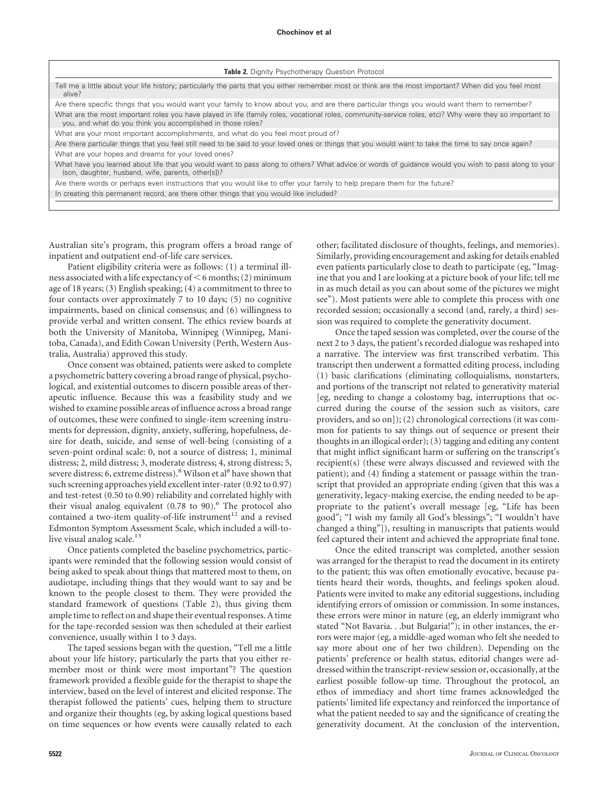#### **Table 2.** Dignity Psychotherapy Question Protocol

Tell me a little about your life history; particularly the parts that you either remember most or think are the most important? When did you feel most alive?

Are there specific things that you would want your family to know about you, and are there particular things you would want them to remember? What are the most important roles you have played in life (family roles, vocational roles, community-service roles, etc)? Why were they so important to

you, and what do you think you accomplished in those roles? What are your most important accomplishments, and what do you feel most proud of?

Are there particular things that you feel still need to be said to your loved ones or things that you would want to take the time to say once again? What are your hopes and dreams for your loved ones?

What have you learned about life that you would want to pass along to others? What advice or words of guidance would you wish to pass along to your (son, daughter, husband, wife, parents, other[s])?

Are there words or perhaps even instructions that you would like to offer your family to help prepare them for the future? In creating this permanent record, are there other things that you would like included?

Australian site's program, this program offers a broad range of inpatient and outpatient end-of-life care services.

Patient eligibility criteria were as follows: (1) a terminal illness associated with a life expectancy of  $\leq$  6 months; (2) minimum age of 18 years; (3) English speaking; (4) a commitment to three to four contacts over approximately 7 to 10 days; (5) no cognitive impairments, based on clinical consensus; and (6) willingness to provide verbal and written consent. The ethics review boards at both the University of Manitoba, Winnipeg (Winnipeg, Manitoba, Canada), and Edith Cowan University (Perth, Western Australia, Australia) approved this study.

Once consent was obtained, patients were asked to complete a psychometric battery covering a broad range of physical, psychological, and existential outcomes to discern possible areas of therapeutic influence. Because this was a feasibility study and we wished to examine possible areas of influence across a broad range of outcomes, these were confined to single-item screening instruments for depression, dignity, anxiety, suffering, hopefulness, desire for death, suicide, and sense of well-being (consisting of a seven-point ordinal scale: 0, not a source of distress; 1, minimal distress; 2, mild distress; 3, moderate distress; 4, strong distress; 5, severe distress; 6, extreme distress).<sup>8</sup> Wilson et al<sup>8</sup> have shown that such screening approaches yield excellent inter-rater (0.92 to 0.97) and test-retest (0.50 to 0.90) reliability and correlated highly with their visual analog equivalent  $(0.78 \text{ to } 90)$ .<sup>6</sup> The protocol also contained a two-item quality-of-life instrument $12$  and a revised Edmonton Symptom Assessment Scale, which included a will-tolive visual analog scale.<sup>13</sup>

Once patients completed the baseline psychometrics, participants were reminded that the following session would consist of being asked to speak about things that mattered most to them, on audiotape, including things that they would want to say and be known to the people closest to them. They were provided the standard framework of questions (Table 2), thus giving them ample time to reflect on and shape their eventual responses. A time for the tape-recorded session was then scheduled at their earliest convenience, usually within 1 to 3 days.

The taped sessions began with the question, "Tell me a little about your life history, particularly the parts that you either remember most or think were most important"? The question framework provided a flexible guide for the therapist to shape the interview, based on the level of interest and elicited response. The therapist followed the patients' cues, helping them to structure and organize their thoughts (eg, by asking logical questions based on time sequences or how events were causally related to each other; facilitated disclosure of thoughts, feelings, and memories). Similarly, providing encouragement and asking for details enabled even patients particularly close to death to participate (eg, "Imagine that you and I are looking at a picture book of your life; tell me in as much detail as you can about some of the pictures we might see"). Most patients were able to complete this process with one recorded session; occasionally a second (and, rarely, a third) session was required to complete the generativity document.

Once the taped session was completed, over the course of the next 2 to 3 days, the patient's recorded dialogue was reshaped into a narrative. The interview was first transcribed verbatim. This transcript then underwent a formatted editing process, including (1) basic clarifications (eliminating colloquialisms, nonstarters, and portions of the transcript not related to generativity material [eg, needing to change a colostomy bag, interruptions that occurred during the course of the session such as visitors, care providers, and so on]); (2) chronological corrections (it was common for patients to say things out of sequence or present their thoughts in an illogical order); (3) tagging and editing any content that might inflict significant harm or suffering on the transcript's recipient(s) (these were always discussed and reviewed with the patient); and (4) finding a statement or passage within the transcript that provided an appropriate ending (given that this was a generativity, legacy-making exercise, the ending needed to be appropriate to the patient's overall message [eg, "Life has been good"; "I wish my family all God's blessings"; "I wouldn't have changed a thing"]), resulting in manuscripts that patients would feel captured their intent and achieved the appropriate final tone.

Once the edited transcript was completed, another session was arranged for the therapist to read the document in its entirety to the patient; this was often emotionally evocative, because patients heard their words, thoughts, and feelings spoken aloud. Patients were invited to make any editorial suggestions, including identifying errors of omission or commission. In some instances, these errors were minor in nature (eg, an elderly immigrant who stated "Not Bavaria. . .but Bulgaria!"); in other instances, the errors were major (eg, a middle-aged woman who felt she needed to say more about one of her two children). Depending on the patients' preference or health status, editorial changes were addressed within the transcript-review session or, occasionally, at the earliest possible follow-up time. Throughout the protocol, an ethos of immediacy and short time frames acknowledged the patients' limited life expectancy and reinforced the importance of what the patient needed to say and the significance of creating the generativity document. At the conclusion of the intervention,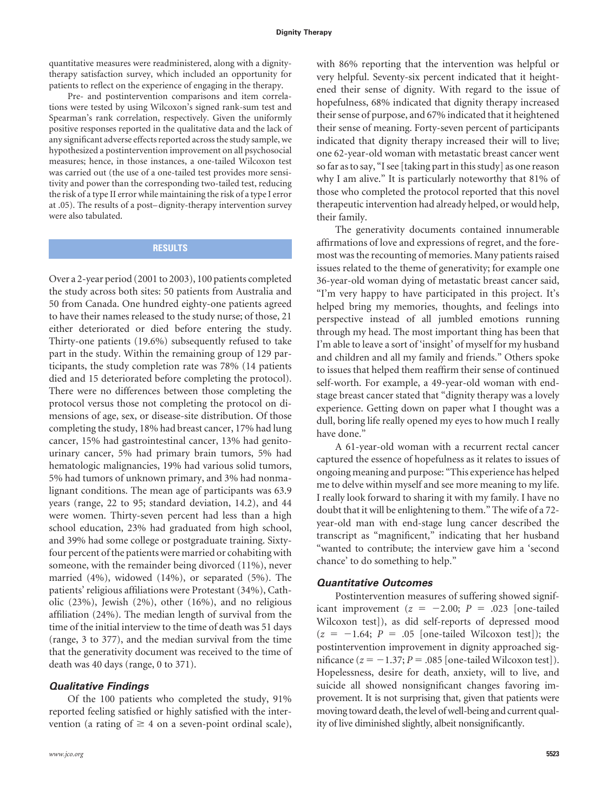quantitative measures were readministered, along with a dignitytherapy satisfaction survey, which included an opportunity for patients to reflect on the experience of engaging in the therapy.

Pre- and postintervention comparisons and item correlations were tested by using Wilcoxon's signed rank-sum test and Spearman's rank correlation, respectively. Given the uniformly positive responses reported in the qualitative data and the lack of any significant adverse effects reported across the study sample, we hypothesized a postintervention improvement on all psychosocial measures; hence, in those instances, a one-tailed Wilcoxon test was carried out (the use of a one-tailed test provides more sensitivity and power than the corresponding two-tailed test, reducing the risk of a type II error while maintaining the risk of a type I error at .05). The results of a post– dignity-therapy intervention survey were also tabulated.

### **RESULTS**

Over a 2-year period (2001 to 2003), 100 patients completed the study across both sites: 50 patients from Australia and 50 from Canada. One hundred eighty-one patients agreed to have their names released to the study nurse; of those, 21 either deteriorated or died before entering the study. Thirty-one patients (19.6%) subsequently refused to take part in the study. Within the remaining group of 129 participants, the study completion rate was 78% (14 patients died and 15 deteriorated before completing the protocol). There were no differences between those completing the protocol versus those not completing the protocol on dimensions of age, sex, or disease-site distribution. Of those completing the study, 18% had breast cancer, 17% had lung cancer, 15% had gastrointestinal cancer, 13% had genitourinary cancer, 5% had primary brain tumors, 5% had hematologic malignancies, 19% had various solid tumors, 5% had tumors of unknown primary, and 3% had nonmalignant conditions. The mean age of participants was 63.9 years (range, 22 to 95; standard deviation, 14.2), and 44 were women. Thirty-seven percent had less than a high school education, 23% had graduated from high school, and 39% had some college or postgraduate training. Sixtyfour percent of the patients were married or cohabiting with someone, with the remainder being divorced (11%), never married (4%), widowed (14%), or separated (5%). The patients' religious affiliations were Protestant (34%), Catholic (23%), Jewish (2%), other (16%), and no religious affiliation (24%). The median length of survival from the time of the initial interview to the time of death was 51 days (range, 3 to 377), and the median survival from the time that the generativity document was received to the time of death was 40 days (range, 0 to 371).

### *Qualitative Findings*

Of the 100 patients who completed the study, 91% reported feeling satisfied or highly satisfied with the intervention (a rating of  $\geq 4$  on a seven-point ordinal scale),

with 86% reporting that the intervention was helpful or very helpful. Seventy-six percent indicated that it heightened their sense of dignity. With regard to the issue of hopefulness, 68% indicated that dignity therapy increased their sense of purpose, and 67% indicated that it heightened their sense of meaning. Forty-seven percent of participants indicated that dignity therapy increased their will to live; one 62-year-old woman with metastatic breast cancer went so far as to say, "I see [taking part in this study] as one reason why I am alive." It is particularly noteworthy that 81% of those who completed the protocol reported that this novel therapeutic intervention had already helped, or would help, their family.

The generativity documents contained innumerable affirmations of love and expressions of regret, and the foremost was the recounting of memories. Many patients raised issues related to the theme of generativity; for example one 36-year-old woman dying of metastatic breast cancer said, "I'm very happy to have participated in this project. It's helped bring my memories, thoughts, and feelings into perspective instead of all jumbled emotions running through my head. The most important thing has been that I'm able to leave a sort of 'insight' of myself for my husband and children and all my family and friends." Others spoke to issues that helped them reaffirm their sense of continued self-worth. For example, a 49-year-old woman with endstage breast cancer stated that "dignity therapy was a lovely experience. Getting down on paper what I thought was a dull, boring life really opened my eyes to how much I really have done."

A 61-year-old woman with a recurrent rectal cancer captured the essence of hopefulness as it relates to issues of ongoing meaning and purpose: "This experience has helped me to delve within myself and see more meaning to my life. I really look forward to sharing it with my family. I have no doubt that it will be enlightening to them." The wife of a 72 year-old man with end-stage lung cancer described the transcript as "magnificent," indicating that her husband "wanted to contribute; the interview gave him a 'second chance' to do something to help."

## *Quantitative Outcomes*

Postintervention measures of suffering showed significant improvement  $(z = -2.00; P = .023$  [one-tailed Wilcoxon test]), as did self-reports of depressed mood  $(z = -1.64; P = .05$  [one-tailed Wilcoxon test]); the postintervention improvement in dignity approached significance  $(z = -1.37; P = .085$  [one-tailed Wilcoxon test]). Hopelessness, desire for death, anxiety, will to live, and suicide all showed nonsignificant changes favoring improvement. It is not surprising that, given that patients were moving toward death, the level of well-being and current quality of live diminished slightly, albeit nonsignificantly.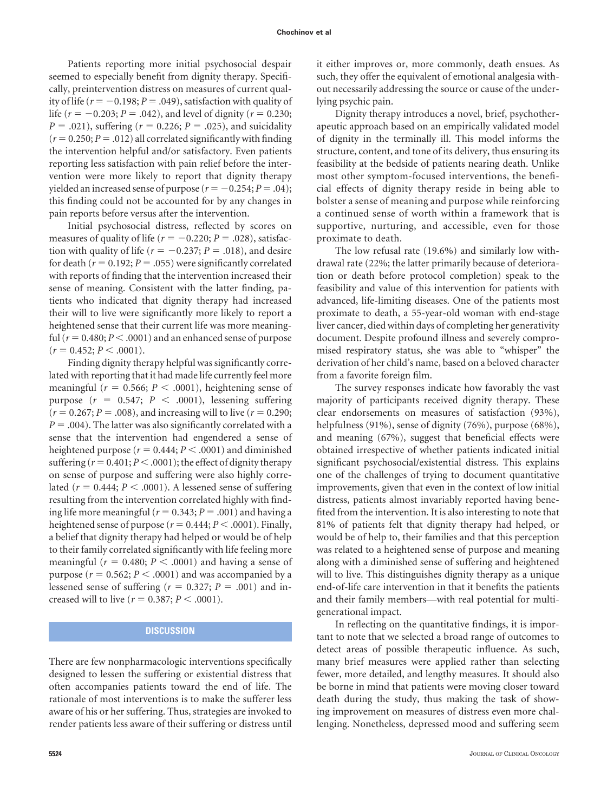Patients reporting more initial psychosocial despair seemed to especially benefit from dignity therapy. Specifically, preintervention distress on measures of current quality of life ( $r = -0.198; P = .049$ ), satisfaction with quality of life ( $r = -0.203$ ;  $P = .042$ ), and level of dignity ( $r = 0.230$ ;  $P = .021$ , suffering ( $r = 0.226$ ;  $P = .025$ ), and suicidality  $(r = 0.250; P = .012)$  all correlated significantly with finding the intervention helpful and/or satisfactory. Even patients reporting less satisfaction with pain relief before the intervention were more likely to report that dignity therapy yielded an increased sense of purpose ( $r = -0.254; P = .04$ ); this finding could not be accounted for by any changes in pain reports before versus after the intervention.

Initial psychosocial distress, reflected by scores on measures of quality of life ( $r = -0.220$ ;  $P = .028$ ), satisfaction with quality of life ( $r = -0.237$ ;  $P = .018$ ), and desire for death ( $r = 0.192$ ;  $P = .055$ ) were significantly correlated with reports of finding that the intervention increased their sense of meaning. Consistent with the latter finding, patients who indicated that dignity therapy had increased their will to live were significantly more likely to report a heightened sense that their current life was more meaningful ( $r = 0.480; P < .0001$ ) and an enhanced sense of purpose  $(r = 0.452; P < .0001).$ 

Finding dignity therapy helpful was significantly correlated with reporting that it had made life currently feel more meaningful ( $r = 0.566$ ;  $P < .0001$ ), heightening sense of purpose  $(r = 0.547; P < .0001)$ , lessening suffering  $(r = 0.267; P = .008)$ , and increasing will to live  $(r = 0.290;$  $P = .004$ ). The latter was also significantly correlated with a sense that the intervention had engendered a sense of heightened purpose ( $r = 0.444; P < .0001$ ) and diminished suffering ( $r = 0.401; P < .0001$ ); the effect of dignity therapy on sense of purpose and suffering were also highly correlated ( $r = 0.444$ ;  $P < .0001$ ). A lessened sense of suffering resulting from the intervention correlated highly with finding life more meaningful ( $r = 0.343$ ;  $P = .001$ ) and having a heightened sense of purpose ( $r = 0.444; P < .0001$ ). Finally, a belief that dignity therapy had helped or would be of help to their family correlated significantly with life feeling more meaningful ( $r = 0.480; P < .0001$ ) and having a sense of purpose ( $r = 0.562$ ;  $P < .0001$ ) and was accompanied by a lessened sense of suffering  $(r = 0.327; P = .001)$  and increased will to live ( $r = 0.387; P < .0001$ ).

## **DISCUSSION**

There are few nonpharmacologic interventions specifically designed to lessen the suffering or existential distress that often accompanies patients toward the end of life. The rationale of most interventions is to make the sufferer less aware of his or her suffering. Thus, strategies are invoked to render patients less aware of their suffering or distress until

it either improves or, more commonly, death ensues. As such, they offer the equivalent of emotional analgesia without necessarily addressing the source or cause of the underlying psychic pain.

Dignity therapy introduces a novel, brief, psychotherapeutic approach based on an empirically validated model of dignity in the terminally ill. This model informs the structure, content, and tone of its delivery, thus ensuring its feasibility at the bedside of patients nearing death. Unlike most other symptom-focused interventions, the beneficial effects of dignity therapy reside in being able to bolster a sense of meaning and purpose while reinforcing a continued sense of worth within a framework that is supportive, nurturing, and accessible, even for those proximate to death.

The low refusal rate (19.6%) and similarly low withdrawal rate (22%; the latter primarily because of deterioration or death before protocol completion) speak to the feasibility and value of this intervention for patients with advanced, life-limiting diseases. One of the patients most proximate to death, a 55-year-old woman with end-stage liver cancer, died within days of completing her generativity document. Despite profound illness and severely compromised respiratory status, she was able to "whisper" the derivation of her child's name, based on a beloved character from a favorite foreign film.

The survey responses indicate how favorably the vast majority of participants received dignity therapy. These clear endorsements on measures of satisfaction (93%), helpfulness (91%), sense of dignity (76%), purpose (68%), and meaning (67%), suggest that beneficial effects were obtained irrespective of whether patients indicated initial significant psychosocial/existential distress. This explains one of the challenges of trying to document quantitative improvements, given that even in the context of low initial distress, patients almost invariably reported having benefited from the intervention. It is also interesting to note that 81% of patients felt that dignity therapy had helped, or would be of help to, their families and that this perception was related to a heightened sense of purpose and meaning along with a diminished sense of suffering and heightened will to live. This distinguishes dignity therapy as a unique end-of-life care intervention in that it benefits the patients and their family members—with real potential for multigenerational impact.

In reflecting on the quantitative findings, it is important to note that we selected a broad range of outcomes to detect areas of possible therapeutic influence. As such, many brief measures were applied rather than selecting fewer, more detailed, and lengthy measures. It should also be borne in mind that patients were moving closer toward death during the study, thus making the task of showing improvement on measures of distress even more challenging. Nonetheless, depressed mood and suffering seem